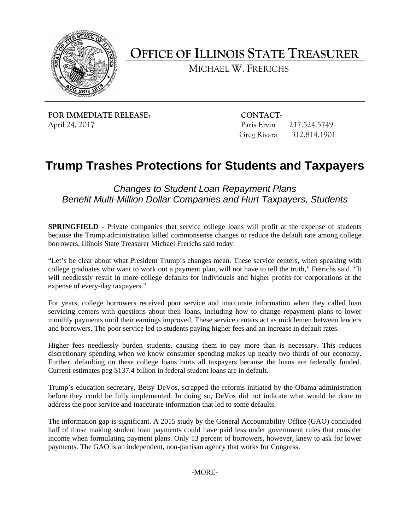

**OFFICE OF ILLINOIS STATE TREASURER** 

MICHAEL W. FRERICHS

**FOR IMMEDIATE RELEASE:** CONTACT: April 24, 2017 Paris Ervin 217.524.5749

Greg Rivara 312.814.1901

## **Trump Trashes Protections for Students and Taxpayers**

*Changes to Student Loan Repayment Plans Benefit Multi-Million Dollar Companies and Hurt Taxpayers, Students* 

**SPRINGFIELD** - Private companies that service college loans will profit at the expense of students because the Trump administration killed commonsense changes to reduce the default rate among college borrowers, Illinois State Treasurer Michael Frerichs said today.

"Let's be clear about what President Trump's changes mean. These service centers, when speaking with college graduates who want to work out a payment plan, will not have to tell the truth," Frerichs said. "It will needlessly result in more college defaults for individuals and higher profits for corporations at the expense of every-day taxpayers."

For years, college borrowers received poor service and inaccurate information when they called loan servicing centers with questions about their loans, including how to change repayment plans to lower monthly payments until their earnings improved. These service centers act as middlemen between lenders and borrowers. The poor service led to students paying higher fees and an increase in default rates.

Higher fees needlessly burden students, causing them to pay more than is necessary. This reduces discretionary spending when we know consumer spending makes up nearly two-thirds of our economy. Further, defaulting on these college loans hurts all taxpayers because the loans are federally funded. Current estimates peg \$137.4 billion in federal student loans are in default.

Trump's education secretary, Betsy DeVos, scrapped the reforms initiated by the Obama administration before they could be fully implemented. In doing so, DeVos did not indicate what would be done to address the poor service and inaccurate information that led to some defaults.

 The information gap is significant. A 2015 study by the General Accountability Office (GAO) concluded half of those making student loan payments could have paid less under government rules that consider income when formulating payment plans. Only 13 percent of borrowers, however, knew to ask for lower payments. The GAO is an independent, non-partisan agency that works for Congress.

-MORE